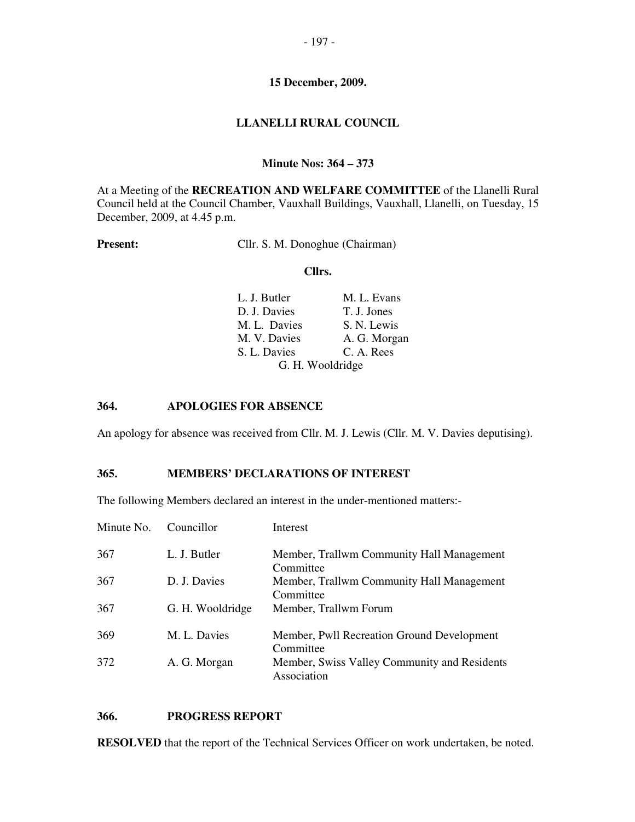## **LLANELLI RURAL COUNCIL**

#### **Minute Nos: 364 – 373**

At a Meeting of the **RECREATION AND WELFARE COMMITTEE** of the Llanelli Rural Council held at the Council Chamber, Vauxhall Buildings, Vauxhall, Llanelli, on Tuesday, 15 December, 2009, at 4.45 p.m.

Present: Cllr. S. M. Donoghue (Chairman)

#### **Cllrs.**

| L. J. Butler     | M. L. Evans  |
|------------------|--------------|
| D. J. Davies     | T. J. Jones  |
| M. L. Davies     | S. N. Lewis  |
| M. V. Davies     | A. G. Morgan |
| S. L. Davies     | C. A. Rees   |
| G. H. Wooldridge |              |

## **364. APOLOGIES FOR ABSENCE**

An apology for absence was received from Cllr. M. J. Lewis (Cllr. M. V. Davies deputising).

#### **365. MEMBERS' DECLARATIONS OF INTEREST**

The following Members declared an interest in the under-mentioned matters:-

| Minute No. | Councillor       | Interest                                                    |
|------------|------------------|-------------------------------------------------------------|
| 367        | L. J. Butler     | Member, Trallwm Community Hall Management<br>Committee      |
| 367        | D. J. Davies     | Member, Trallwm Community Hall Management<br>Committee      |
| 367        | G. H. Wooldridge | Member, Trallwm Forum                                       |
| 369        | M. L. Davies     | Member, Pwll Recreation Ground Development<br>Committee     |
| 372        | A. G. Morgan     | Member, Swiss Valley Community and Residents<br>Association |

## **366. PROGRESS REPORT**

**RESOLVED** that the report of the Technical Services Officer on work undertaken, be noted.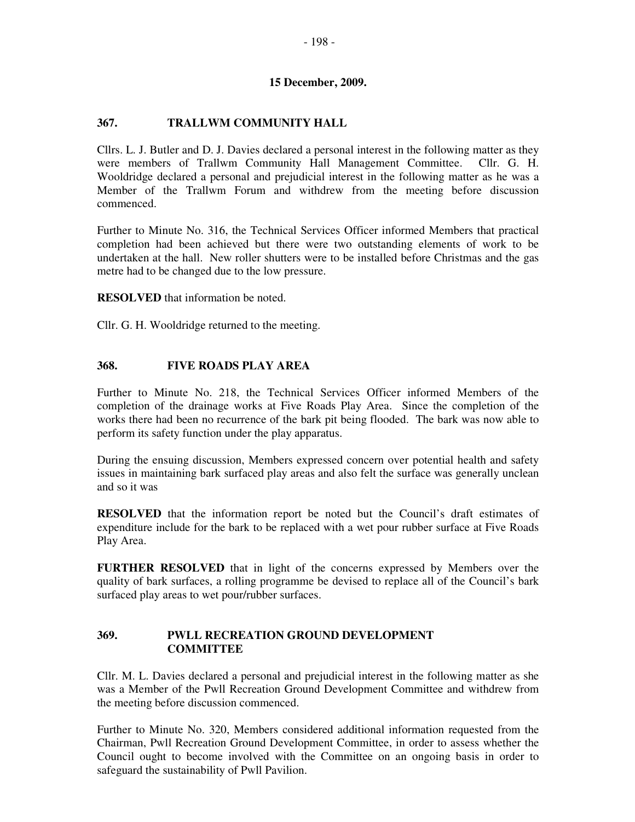## **367. TRALLWM COMMUNITY HALL**

Cllrs. L. J. Butler and D. J. Davies declared a personal interest in the following matter as they were members of Trallwm Community Hall Management Committee. Cllr. G. H. Wooldridge declared a personal and prejudicial interest in the following matter as he was a Member of the Trallwm Forum and withdrew from the meeting before discussion commenced.

Further to Minute No. 316, the Technical Services Officer informed Members that practical completion had been achieved but there were two outstanding elements of work to be undertaken at the hall. New roller shutters were to be installed before Christmas and the gas metre had to be changed due to the low pressure.

**RESOLVED** that information be noted.

Cllr. G. H. Wooldridge returned to the meeting.

## **368. FIVE ROADS PLAY AREA**

Further to Minute No. 218, the Technical Services Officer informed Members of the completion of the drainage works at Five Roads Play Area. Since the completion of the works there had been no recurrence of the bark pit being flooded. The bark was now able to perform its safety function under the play apparatus.

During the ensuing discussion, Members expressed concern over potential health and safety issues in maintaining bark surfaced play areas and also felt the surface was generally unclean and so it was

**RESOLVED** that the information report be noted but the Council's draft estimates of expenditure include for the bark to be replaced with a wet pour rubber surface at Five Roads Play Area.

**FURTHER RESOLVED** that in light of the concerns expressed by Members over the quality of bark surfaces, a rolling programme be devised to replace all of the Council's bark surfaced play areas to wet pour/rubber surfaces.

## **369. PWLL RECREATION GROUND DEVELOPMENT COMMITTEE**

Cllr. M. L. Davies declared a personal and prejudicial interest in the following matter as she was a Member of the Pwll Recreation Ground Development Committee and withdrew from the meeting before discussion commenced.

Further to Minute No. 320, Members considered additional information requested from the Chairman, Pwll Recreation Ground Development Committee, in order to assess whether the Council ought to become involved with the Committee on an ongoing basis in order to safeguard the sustainability of Pwll Pavilion.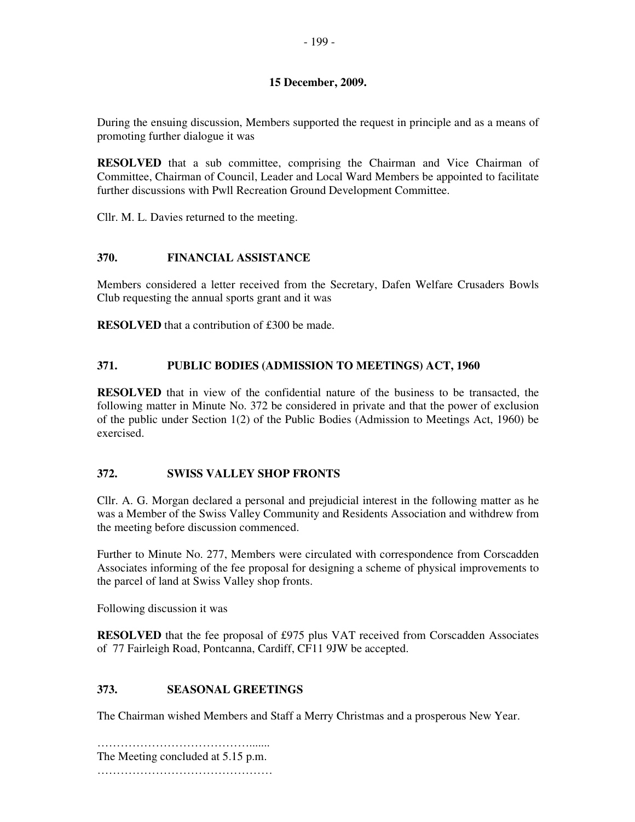During the ensuing discussion, Members supported the request in principle and as a means of promoting further dialogue it was

**RESOLVED** that a sub committee, comprising the Chairman and Vice Chairman of Committee, Chairman of Council, Leader and Local Ward Members be appointed to facilitate further discussions with Pwll Recreation Ground Development Committee.

Cllr. M. L. Davies returned to the meeting.

# **370. FINANCIAL ASSISTANCE**

Members considered a letter received from the Secretary, Dafen Welfare Crusaders Bowls Club requesting the annual sports grant and it was

**RESOLVED** that a contribution of £300 be made.

## **371. PUBLIC BODIES (ADMISSION TO MEETINGS) ACT, 1960**

**RESOLVED** that in view of the confidential nature of the business to be transacted, the following matter in Minute No. 372 be considered in private and that the power of exclusion of the public under Section 1(2) of the Public Bodies (Admission to Meetings Act, 1960) be exercised.

# **372. SWISS VALLEY SHOP FRONTS**

Cllr. A. G. Morgan declared a personal and prejudicial interest in the following matter as he was a Member of the Swiss Valley Community and Residents Association and withdrew from the meeting before discussion commenced.

Further to Minute No. 277, Members were circulated with correspondence from Corscadden Associates informing of the fee proposal for designing a scheme of physical improvements to the parcel of land at Swiss Valley shop fronts.

Following discussion it was

**RESOLVED** that the fee proposal of £975 plus VAT received from Corscadden Associates of 77 Fairleigh Road, Pontcanna, Cardiff, CF11 9JW be accepted.

# **373. SEASONAL GREETINGS**

The Chairman wished Members and Staff a Merry Christmas and a prosperous New Year.

…………………………………………… The Meeting concluded at 5.15 p.m. ……………………………………………